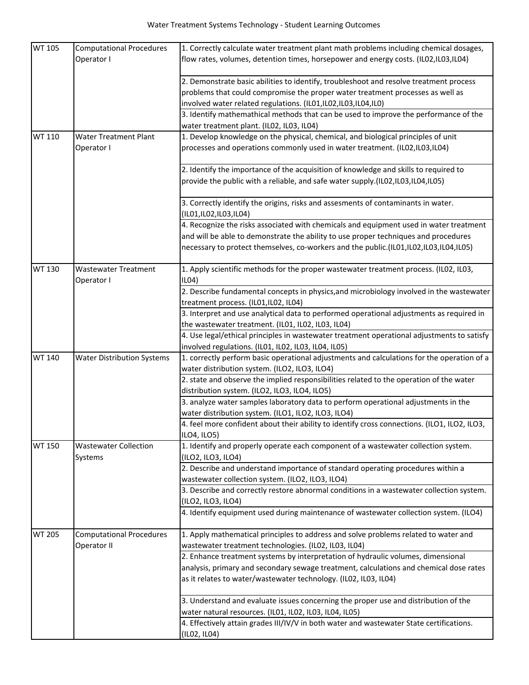| <b>WT 105</b> | <b>Computational Procedures</b>           | 1. Correctly calculate water treatment plant math problems including chemical dosages,                                                                                  |
|---------------|-------------------------------------------|-------------------------------------------------------------------------------------------------------------------------------------------------------------------------|
|               | Operator I                                | flow rates, volumes, detention times, horsepower and energy costs. (IL02,IL03,IL04)                                                                                     |
|               |                                           | 2. Demonstrate basic abilities to identify, troubleshoot and resolve treatment process                                                                                  |
|               |                                           | problems that could compromise the proper water treatment processes as well as                                                                                          |
|               |                                           | involved water related regulations. (IL01,IL02,IL03,IL04,IL0)                                                                                                           |
|               |                                           | 3. Identify mathemathical methods that can be used to improve the performance of the                                                                                    |
|               |                                           | water treatment plant. (IL02, IL03, IL04)                                                                                                                               |
| <b>WT 110</b> | <b>Water Treatment Plant</b>              | 1. Develop knowledge on the physical, chemical, and biological principles of unit                                                                                       |
|               | Operator I                                | processes and operations commonly used in water treatment. (IL02,IL03,IL04)                                                                                             |
|               |                                           | 2. Identify the importance of the acquisition of knowledge and skills to required to<br>provide the public with a reliable, and safe water supply.(IL02,IL03,IL04,IL05) |
|               |                                           | 3. Correctly identify the origins, risks and assesments of contaminants in water.<br>(IL01,IL02,IL03,IL04)                                                              |
|               |                                           | 4. Recognize the risks associated with chemicals and equipment used in water treatment                                                                                  |
|               |                                           | and will be able to demonstrate the ability to use proper techniques and procedures                                                                                     |
|               |                                           | necessary to protect themselves, co-workers and the public.(IL01,IL02,IL03,IL04,IL05)                                                                                   |
| <b>WT 130</b> | <b>Wastewater Treatment</b><br>Operator I | 1. Apply scientific methods for the proper wastewater treatment process. (ILO2, ILO3,<br>ILO4)                                                                          |
|               |                                           | 2. Describe fundamental concepts in physics, and microbiology involved in the wastewater                                                                                |
|               |                                           | treatment process. (IL01,IL02, IL04)                                                                                                                                    |
|               |                                           | 3. Interpret and use analytical data to performed operational adjustments as required in                                                                                |
|               |                                           | the wastewater treatment. (IL01, IL02, IL03, IL04)                                                                                                                      |
|               |                                           | 4. Use legal/ethical principles in wastewater treatment operational adjustments to satisfy                                                                              |
|               |                                           | involved regulations. (IL01, IL02, IL03, IL04, IL05)                                                                                                                    |
| <b>WT 140</b> | <b>Water Distribution Systems</b>         | 1. correctly perform basic operational adjustments and calculations for the operation of a<br>water distribution system. (ILO2, ILO3, ILO4)                             |
|               |                                           | 2. state and observe the implied responsibilities related to the operation of the water                                                                                 |
|               |                                           | distribution system. (ILO2, ILO3, ILO4, ILO5)                                                                                                                           |
|               |                                           | 3. analyze water samples laboratory data to perform operational adjustments in the                                                                                      |
|               |                                           | water distribution system. (ILO1, ILO2, ILO3, ILO4)                                                                                                                     |
|               |                                           | 4. feel more confident about their ability to identify cross connections. (ILO1, ILO2, ILO3,<br>ILO4, ILO5)                                                             |
| <b>WT 150</b> | <b>Wastewater Collection</b><br>Systems   | 1. Identify and properly operate each component of a wastewater collection system.<br>(ILO2, ILO3, ILO4)                                                                |
|               |                                           | 2. Describe and understand importance of standard operating procedures within a                                                                                         |
|               |                                           | wastewater collection system. (ILO2, ILO3, ILO4)                                                                                                                        |
|               |                                           | 3. Describe and correctly restore abnormal conditions in a wastewater collection system.                                                                                |
|               |                                           | (ILO2, ILO3, ILO4)                                                                                                                                                      |
|               |                                           | 4. Identify equipment used during maintenance of wastewater collection system. (ILO4)                                                                                   |
| <b>WT 205</b> | <b>Computational Procedures</b>           | 1. Apply mathematical principles to address and solve problems related to water and                                                                                     |
|               | Operator II                               | wastewater treatment technologies. (IL02, IL03, IL04)                                                                                                                   |
|               |                                           | 2. Enhance treatment systems by interpretation of hydraulic volumes, dimensional                                                                                        |
|               |                                           | analysis, primary and secondary sewage treatment, calculations and chemical dose rates                                                                                  |
|               |                                           | as it relates to water/wastewater technology. (IL02, IL03, IL04)                                                                                                        |
|               |                                           | 3. Understand and evaluate issues concerning the proper use and distribution of the                                                                                     |
|               |                                           | water natural resources. (IL01, IL02, IL03, IL04, IL05)                                                                                                                 |
|               |                                           | 4. Effectively attain grades III/IV/V in both water and wastewater State certifications.                                                                                |
|               |                                           | (ILO2, ILO4)                                                                                                                                                            |